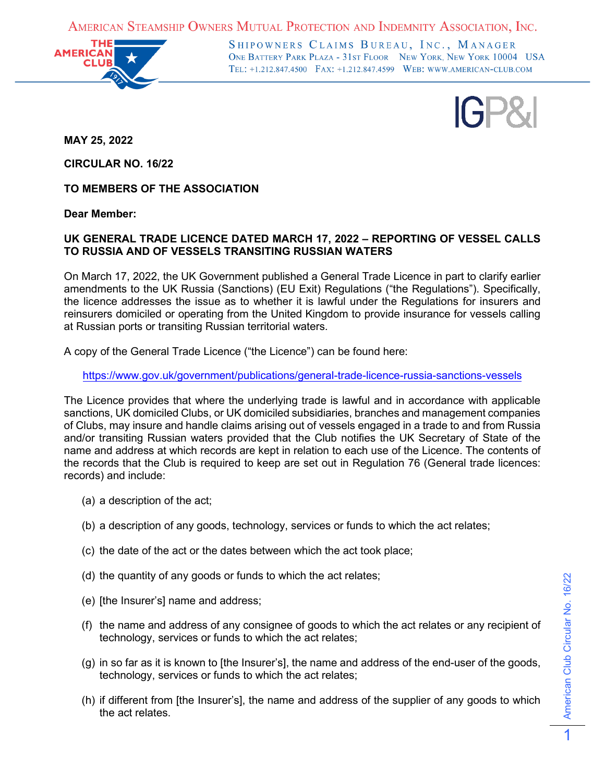AMERICAN STEAMSHIP OWNERS MUTUAL PROTECTION AND INDEMNITY ASSOCIATION, INC.



SHIPOWNERS CLAIMS BUREAU, INC., MANAGER ONE BATTERY PARK PLAZA - 31ST FLOOR NEW YORK, NEW YORK 10004 USA TEL: +1.212.847.4500 FAX: +1.212.847.4599 WEB: WWW.AMERICAN-CLUB.COM



**MAY 25, 2022**

**CIRCULAR NO. 16/22**

**TO MEMBERS OF THE ASSOCIATION** 

**Dear Member:**

## **UK GENERAL TRADE LICENCE DATED MARCH 17, 2022 – REPORTING OF VESSEL CALLS TO RUSSIA AND OF VESSELS TRANSITING RUSSIAN WATERS**

On March 17, 2022, the UK Government published a General Trade Licence in part to clarify earlier amendments to the UK Russia (Sanctions) (EU Exit) Regulations ("the Regulations"). Specifically, the licence addresses the issue as to whether it is lawful under the Regulations for insurers and reinsurers domiciled or operating from the United Kingdom to provide insurance for vessels calling at Russian ports or transiting Russian territorial waters.

A copy of the General Trade Licence ("the Licence") can be found here:

<https://www.gov.uk/government/publications/general-trade-licence-russia-sanctions-vessels>

The Licence provides that where the underlying trade is lawful and in accordance with applicable sanctions, UK domiciled Clubs, or UK domiciled subsidiaries, branches and management companies of Clubs, may insure and handle claims arising out of vessels engaged in a trade to and from Russia and/or transiting Russian waters provided that the Club notifies the UK Secretary of State of the name and address at which records are kept in relation to each use of the Licence. The contents of the records that the Club is required to keep are set out in Regulation 76 (General trade licences: records) and include:

- (a) a description of the act;
- (b) a description of any goods, technology, services or funds to which the act relates;
- (c) the date of the act or the dates between which the act took place;
- (d) the quantity of any goods or funds to which the act relates;
- (e) [the Insurer's] name and address;
- (f) the name and address of any consignee of goods to which the act relates or any recipient of technology, services or funds to which the act relates;
- (g) in so far as it is known to [the Insurer's], the name and address of the end-user of the goods, technology, services or funds to which the act relates;
- (h) if different from [the Insurer's], the name and address of the supplier of any goods to which the act relates.